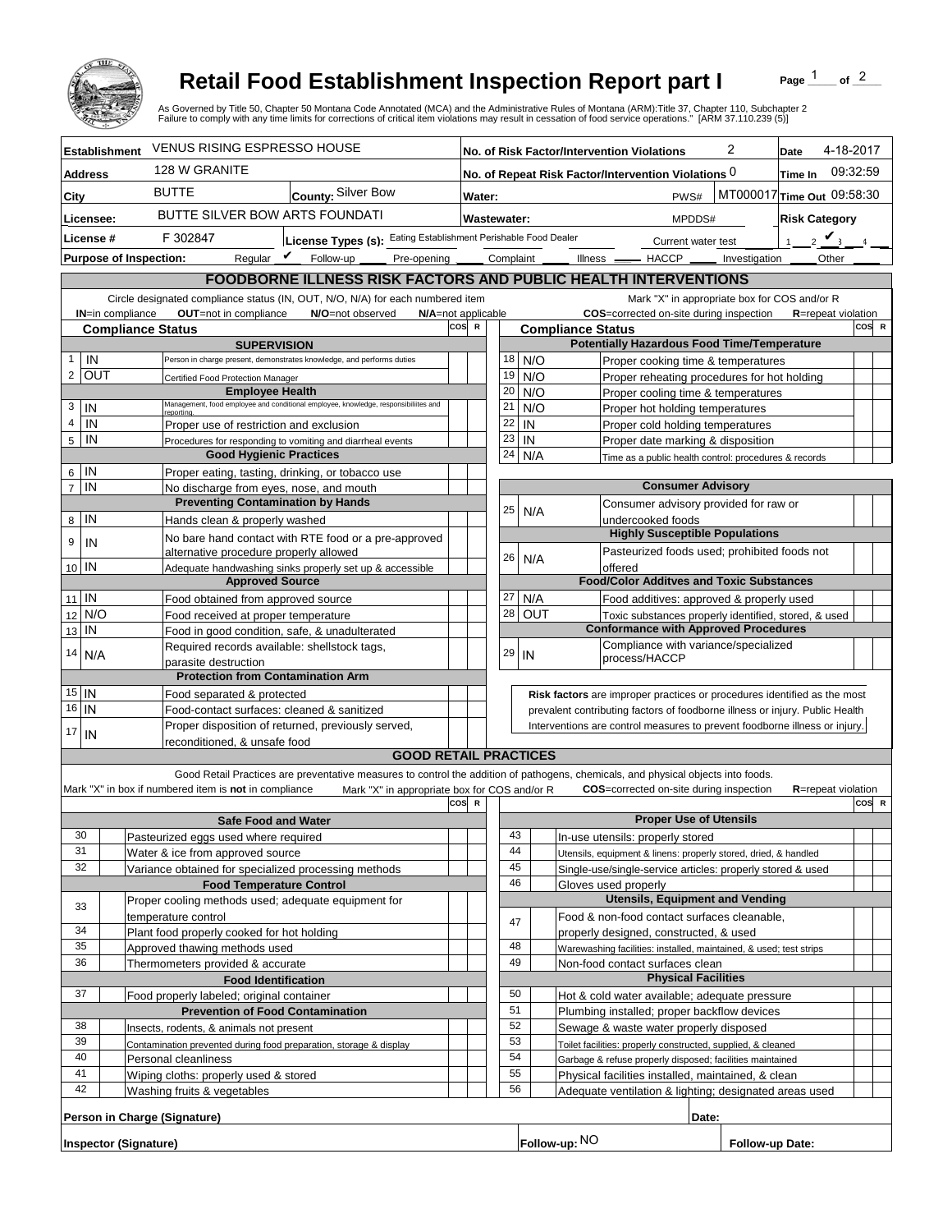

## **Retail Food Establishment Inspection Report part I**

Page  $1$  of  $2$ 

|                                                                                                                                                                                                  |                                                                                                            |                                                                                                   | <b>Retail Food Establishment Inspection Report part I</b><br>As Governed by Title 50, Chapter 50 Montana Code Annotated (MCA) and the Administrative Rules of Montana (ARM):Title 37, Chapter 110, Subchapter 2<br>Failure to comply with any time limits for corrections of critical item violations may result in cessation of food service operations." [ARM 37.110.239 (5)] |                                                                                         |                                                                |                                                                     |                                                                    |                                        |  |         |                                               |                                       |                                                                                                              |       | Page         |                            | of $^2$ |  |
|--------------------------------------------------------------------------------------------------------------------------------------------------------------------------------------------------|------------------------------------------------------------------------------------------------------------|---------------------------------------------------------------------------------------------------|---------------------------------------------------------------------------------------------------------------------------------------------------------------------------------------------------------------------------------------------------------------------------------------------------------------------------------------------------------------------------------|-----------------------------------------------------------------------------------------|----------------------------------------------------------------|---------------------------------------------------------------------|--------------------------------------------------------------------|----------------------------------------|--|---------|-----------------------------------------------|---------------------------------------|--------------------------------------------------------------------------------------------------------------|-------|--------------|----------------------------|---------|--|
| <b>Establishment</b>                                                                                                                                                                             |                                                                                                            | <b>VENUS RISING ESPRESSO HOUSE</b>                                                                |                                                                                                                                                                                                                                                                                                                                                                                 |                                                                                         | 2<br>No. of Risk Factor/Intervention Violations<br>Date        |                                                                     |                                                                    |                                        |  |         |                                               |                                       | 4-18-2017                                                                                                    |       |              |                            |         |  |
| <b>Address</b>                                                                                                                                                                                   |                                                                                                            | 128 W GRANITE                                                                                     |                                                                                                                                                                                                                                                                                                                                                                                 |                                                                                         | No. of Repeat Risk Factor/Intervention Violations 0<br>Time In |                                                                     |                                                                    |                                        |  |         |                                               | 09:32:59                              |                                                                                                              |       |              |                            |         |  |
| City                                                                                                                                                                                             |                                                                                                            | <b>BUTTE</b>                                                                                      | County: Silver Bow                                                                                                                                                                                                                                                                                                                                                              | MT000017 Time Out 09:58:30<br>PWS#<br>Water:                                            |                                                                |                                                                     |                                                                    |                                        |  |         |                                               |                                       |                                                                                                              |       |              |                            |         |  |
| Licensee:                                                                                                                                                                                        |                                                                                                            | BUTTE SILVER BOW ARTS FOUNDATI                                                                    |                                                                                                                                                                                                                                                                                                                                                                                 |                                                                                         |                                                                | <b>Wastewater:</b><br><b>Risk Category</b><br>MPDDS#                |                                                                    |                                        |  |         |                                               |                                       |                                                                                                              |       |              |                            |         |  |
| License #                                                                                                                                                                                        |                                                                                                            | F 302847                                                                                          | License Types (s): Eating Establishment Perishable Food Dealer                                                                                                                                                                                                                                                                                                                  | $1 \quad 2$ $\vee$<br>Current water test                                                |                                                                |                                                                     |                                                                    |                                        |  |         |                                               |                                       |                                                                                                              |       |              |                            |         |  |
|                                                                                                                                                                                                  | <b>Purpose of Inspection:</b>                                                                              | Reqular $\boldsymbol{V}$                                                                          | Follow-up<br>Pre-opening                                                                                                                                                                                                                                                                                                                                                        |                                                                                         |                                                                |                                                                     |                                                                    | Complaint<br>Illness <u>- HACCP</u> -  |  |         |                                               | Investigation                         |                                                                                                              |       | <b>Other</b> |                            |         |  |
|                                                                                                                                                                                                  |                                                                                                            |                                                                                                   |                                                                                                                                                                                                                                                                                                                                                                                 |                                                                                         |                                                                |                                                                     |                                                                    |                                        |  |         |                                               |                                       |                                                                                                              |       |              |                            |         |  |
| FOODBORNE ILLNESS RISK FACTORS AND PUBLIC HEALTH INTERVENTIONS<br>Circle designated compliance status (IN, OUT, N/O, N/A) for each numbered item<br>Mark "X" in appropriate box for COS and/or R |                                                                                                            |                                                                                                   |                                                                                                                                                                                                                                                                                                                                                                                 |                                                                                         |                                                                |                                                                     |                                                                    |                                        |  |         |                                               |                                       |                                                                                                              |       |              |                            |         |  |
|                                                                                                                                                                                                  | IN=in compliance                                                                                           | OUT=not in compliance                                                                             | N/A=not applicable<br>N/O=not observed                                                                                                                                                                                                                                                                                                                                          |                                                                                         |                                                                |                                                                     |                                                                    |                                        |  |         |                                               |                                       | COS=corrected on-site during inspection                                                                      |       |              | R=repeat violation         |         |  |
|                                                                                                                                                                                                  | <b>Compliance Status</b>                                                                                   |                                                                                                   |                                                                                                                                                                                                                                                                                                                                                                                 | COS R<br><b>Compliance Status</b><br><b>Potentially Hazardous Food Time/Temperature</b> |                                                                |                                                                     |                                                                    |                                        |  |         |                                               |                                       |                                                                                                              | COS R |              |                            |         |  |
| <b>SUPERVISION</b><br>IN<br>Person in charge present, demonstrates knowledge, and performs duties                                                                                                |                                                                                                            |                                                                                                   |                                                                                                                                                                                                                                                                                                                                                                                 |                                                                                         |                                                                | 18                                                                  |                                                                    | N/O                                    |  |         |                                               |                                       | Proper cooking time & temperatures                                                                           |       |              |                            |         |  |
| 2 <sup>1</sup>                                                                                                                                                                                   | OUT                                                                                                        | Certified Food Protection Manager                                                                 |                                                                                                                                                                                                                                                                                                                                                                                 |                                                                                         |                                                                | 19                                                                  |                                                                    | N/O                                    |  |         |                                               |                                       | Proper reheating procedures for hot holding                                                                  |       |              |                            |         |  |
|                                                                                                                                                                                                  |                                                                                                            | <b>Employee Health</b>                                                                            |                                                                                                                                                                                                                                                                                                                                                                                 |                                                                                         |                                                                | 20                                                                  |                                                                    | N/O                                    |  |         |                                               |                                       | Proper cooling time & temperatures                                                                           |       |              |                            |         |  |
| 3<br>IN                                                                                                                                                                                          |                                                                                                            | reporting                                                                                         | Management, food employee and conditional employee, knowledge, responsibiliites and                                                                                                                                                                                                                                                                                             |                                                                                         |                                                                | 21                                                                  |                                                                    | N/O                                    |  |         |                                               |                                       | Proper hot holding temperatures                                                                              |       |              |                            |         |  |
| $\overline{4}$<br>IN                                                                                                                                                                             |                                                                                                            | Proper use of restriction and exclusion                                                           |                                                                                                                                                                                                                                                                                                                                                                                 |                                                                                         |                                                                | 22                                                                  |                                                                    | IN                                     |  |         |                                               |                                       | Proper cold holding temperatures                                                                             |       |              |                            |         |  |
| IN<br>5                                                                                                                                                                                          |                                                                                                            | <b>Good Hygienic Practices</b>                                                                    | Procedures for responding to vomiting and diarrheal events                                                                                                                                                                                                                                                                                                                      |                                                                                         |                                                                | 23<br>24                                                            |                                                                    | IN<br>N/A                              |  |         |                                               |                                       | Proper date marking & disposition                                                                            |       |              |                            |         |  |
| IN<br>6                                                                                                                                                                                          |                                                                                                            |                                                                                                   | Proper eating, tasting, drinking, or tobacco use                                                                                                                                                                                                                                                                                                                                |                                                                                         |                                                                |                                                                     |                                                                    |                                        |  |         |                                               |                                       | Time as a public health control: procedures & records                                                        |       |              |                            |         |  |
| $\overline{7}$<br>IN                                                                                                                                                                             | No discharge from eyes, nose, and mouth                                                                    |                                                                                                   |                                                                                                                                                                                                                                                                                                                                                                                 |                                                                                         |                                                                | <b>Consumer Advisory</b>                                            |                                                                    |                                        |  |         |                                               |                                       |                                                                                                              |       |              |                            |         |  |
|                                                                                                                                                                                                  |                                                                                                            | <b>Preventing Contamination by Hands</b>                                                          |                                                                                                                                                                                                                                                                                                                                                                                 |                                                                                         |                                                                | 25                                                                  |                                                                    | N/A                                    |  |         |                                               | Consumer advisory provided for raw or |                                                                                                              |       |              |                            |         |  |
| IN<br>8 <sup>1</sup>                                                                                                                                                                             |                                                                                                            | Hands clean & properly washed                                                                     |                                                                                                                                                                                                                                                                                                                                                                                 |                                                                                         |                                                                |                                                                     |                                                                    |                                        |  |         |                                               | undercooked foods                     | <b>Highly Susceptible Populations</b>                                                                        |       |              |                            |         |  |
| 9<br>IN                                                                                                                                                                                          |                                                                                                            |                                                                                                   | No bare hand contact with RTE food or a pre-approved                                                                                                                                                                                                                                                                                                                            |                                                                                         |                                                                |                                                                     |                                                                    |                                        |  |         |                                               |                                       | Pasteurized foods used; prohibited foods not                                                                 |       |              |                            |         |  |
| $10$ IN                                                                                                                                                                                          |                                                                                                            | alternative procedure properly allowed<br>Adequate handwashing sinks properly set up & accessible |                                                                                                                                                                                                                                                                                                                                                                                 |                                                                                         |                                                                | 26                                                                  |                                                                    | N/A                                    |  | offered |                                               |                                       |                                                                                                              |       |              |                            |         |  |
|                                                                                                                                                                                                  |                                                                                                            | <b>Approved Source</b>                                                                            |                                                                                                                                                                                                                                                                                                                                                                                 |                                                                                         |                                                                |                                                                     |                                                                    |                                        |  |         |                                               |                                       | <b>Food/Color Additves and Toxic Substances</b>                                                              |       |              |                            |         |  |
| $11$ IN                                                                                                                                                                                          |                                                                                                            | Food obtained from approved source                                                                |                                                                                                                                                                                                                                                                                                                                                                                 |                                                                                         |                                                                | 27                                                                  |                                                                    | N/A                                    |  |         |                                               |                                       | Food additives: approved & properly used                                                                     |       |              |                            |         |  |
| N/O<br>12                                                                                                                                                                                        |                                                                                                            | Food received at proper temperature                                                               |                                                                                                                                                                                                                                                                                                                                                                                 |                                                                                         |                                                                | 28                                                                  |                                                                    | <b>OUT</b>                             |  |         |                                               |                                       | Toxic substances properly identified, stored, & used<br><b>Conformance with Approved Procedures</b>          |       |              |                            |         |  |
| IN<br>13                                                                                                                                                                                         |                                                                                                            | Food in good condition, safe, & unadulterated<br>Required records available: shellstock tags,     |                                                                                                                                                                                                                                                                                                                                                                                 |                                                                                         |                                                                |                                                                     |                                                                    |                                        |  |         |                                               |                                       | Compliance with variance/specialized                                                                         |       |              |                            |         |  |
| 14<br>N/A                                                                                                                                                                                        |                                                                                                            | parasite destruction                                                                              |                                                                                                                                                                                                                                                                                                                                                                                 |                                                                                         |                                                                | 29                                                                  |                                                                    | IN                                     |  |         | process/HACCP                                 |                                       |                                                                                                              |       |              |                            |         |  |
|                                                                                                                                                                                                  |                                                                                                            | <b>Protection from Contamination Arm</b>                                                          |                                                                                                                                                                                                                                                                                                                                                                                 |                                                                                         |                                                                |                                                                     |                                                                    |                                        |  |         |                                               |                                       |                                                                                                              |       |              |                            |         |  |
| $15$   IN                                                                                                                                                                                        |                                                                                                            | Food separated & protected                                                                        |                                                                                                                                                                                                                                                                                                                                                                                 |                                                                                         |                                                                |                                                                     |                                                                    |                                        |  |         |                                               |                                       | Risk factors are improper practices or procedures identified as the most                                     |       |              |                            |         |  |
| 16 IN                                                                                                                                                                                            |                                                                                                            |                                                                                                   | Food-contact surfaces: cleaned & sanitized<br>Proper disposition of returned, previously served,                                                                                                                                                                                                                                                                                |                                                                                         |                                                                |                                                                     |                                                                    |                                        |  |         |                                               |                                       | prevalent contributing factors of foodborne illness or injury. Public Health                                 |       |              |                            |         |  |
| 17<br>IN                                                                                                                                                                                         | Interventions are control measures to prevent foodborne illness or injury.<br>reconditioned, & unsafe food |                                                                                                   |                                                                                                                                                                                                                                                                                                                                                                                 |                                                                                         |                                                                |                                                                     |                                                                    |                                        |  |         |                                               |                                       |                                                                                                              |       |              |                            |         |  |
|                                                                                                                                                                                                  |                                                                                                            |                                                                                                   | <b>GOOD RETAIL PRACTICES</b>                                                                                                                                                                                                                                                                                                                                                    |                                                                                         |                                                                |                                                                     |                                                                    |                                        |  |         |                                               |                                       |                                                                                                              |       |              |                            |         |  |
|                                                                                                                                                                                                  |                                                                                                            |                                                                                                   | Good Retail Practices are preventative measures to control the addition of pathogens, chemicals, and physical objects into foods.                                                                                                                                                                                                                                               |                                                                                         |                                                                |                                                                     |                                                                    |                                        |  |         |                                               |                                       |                                                                                                              |       |              |                            |         |  |
|                                                                                                                                                                                                  |                                                                                                            | Mark "X" in box if numbered item is not in compliance                                             | Mark "X" in appropriate box for COS and/or R                                                                                                                                                                                                                                                                                                                                    | COS R                                                                                   |                                                                |                                                                     |                                                                    |                                        |  |         |                                               |                                       | <b>COS</b> =corrected on-site during inspection                                                              |       |              | <b>R</b> =repeat violation | COS R   |  |
|                                                                                                                                                                                                  |                                                                                                            | <b>Safe Food and Water</b>                                                                        |                                                                                                                                                                                                                                                                                                                                                                                 |                                                                                         |                                                                |                                                                     |                                                                    |                                        |  |         |                                               |                                       | <b>Proper Use of Utensils</b>                                                                                |       |              |                            |         |  |
| 30                                                                                                                                                                                               |                                                                                                            | Pasteurized eggs used where required                                                              |                                                                                                                                                                                                                                                                                                                                                                                 |                                                                                         |                                                                |                                                                     | 43                                                                 |                                        |  |         |                                               | In-use utensils: properly stored      |                                                                                                              |       |              |                            |         |  |
| 31                                                                                                                                                                                               |                                                                                                            | Water & ice from approved source                                                                  |                                                                                                                                                                                                                                                                                                                                                                                 |                                                                                         |                                                                |                                                                     | 44                                                                 |                                        |  |         |                                               |                                       | Utensils, equipment & linens: properly stored, dried, & handled                                              |       |              |                            |         |  |
| 32                                                                                                                                                                                               |                                                                                                            | Variance obtained for specialized processing methods                                              |                                                                                                                                                                                                                                                                                                                                                                                 |                                                                                         |                                                                |                                                                     | 45<br>46                                                           |                                        |  |         |                                               |                                       | Single-use/single-service articles: properly stored & used                                                   |       |              |                            |         |  |
|                                                                                                                                                                                                  |                                                                                                            | <b>Food Temperature Control</b><br>Proper cooling methods used; adequate equipment for            |                                                                                                                                                                                                                                                                                                                                                                                 |                                                                                         |                                                                |                                                                     |                                                                    |                                        |  |         | Gloves used properly                          |                                       | <b>Utensils, Equipment and Vending</b>                                                                       |       |              |                            |         |  |
| 33                                                                                                                                                                                               |                                                                                                            | temperature control                                                                               |                                                                                                                                                                                                                                                                                                                                                                                 |                                                                                         |                                                                |                                                                     |                                                                    |                                        |  |         |                                               |                                       | Food & non-food contact surfaces cleanable,                                                                  |       |              |                            |         |  |
| 34                                                                                                                                                                                               |                                                                                                            | Plant food properly cooked for hot holding                                                        |                                                                                                                                                                                                                                                                                                                                                                                 |                                                                                         |                                                                |                                                                     | 47                                                                 |                                        |  |         |                                               |                                       | properly designed, constructed, & used                                                                       |       |              |                            |         |  |
| 35                                                                                                                                                                                               |                                                                                                            | Approved thawing methods used                                                                     |                                                                                                                                                                                                                                                                                                                                                                                 |                                                                                         |                                                                |                                                                     | 48                                                                 |                                        |  |         |                                               |                                       | Warewashing facilities: installed, maintained, & used; test strips                                           |       |              |                            |         |  |
| 36                                                                                                                                                                                               |                                                                                                            |                                                                                                   | Thermometers provided & accurate<br><b>Food Identification</b>                                                                                                                                                                                                                                                                                                                  |                                                                                         |                                                                | 49<br>Non-food contact surfaces clean<br><b>Physical Facilities</b> |                                                                    |                                        |  |         |                                               |                                       |                                                                                                              |       |              |                            |         |  |
| 37                                                                                                                                                                                               |                                                                                                            |                                                                                                   |                                                                                                                                                                                                                                                                                                                                                                                 |                                                                                         | 50                                                             |                                                                     |                                                                    |                                        |  |         | Hot & cold water available; adequate pressure |                                       |                                                                                                              |       |              |                            |         |  |
|                                                                                                                                                                                                  |                                                                                                            | Food properly labeled; original container<br><b>Prevention of Food Contamination</b>              |                                                                                                                                                                                                                                                                                                                                                                                 |                                                                                         |                                                                |                                                                     | 51                                                                 |                                        |  |         |                                               |                                       | Plumbing installed; proper backflow devices                                                                  |       |              |                            |         |  |
| 38                                                                                                                                                                                               |                                                                                                            | Insects, rodents, & animals not present                                                           |                                                                                                                                                                                                                                                                                                                                                                                 |                                                                                         |                                                                |                                                                     | 52                                                                 | Sewage & waste water properly disposed |  |         |                                               |                                       |                                                                                                              |       |              |                            |         |  |
| 39                                                                                                                                                                                               |                                                                                                            | Contamination prevented during food preparation, storage & display                                |                                                                                                                                                                                                                                                                                                                                                                                 |                                                                                         |                                                                |                                                                     | 53<br>Toilet facilities: properly constructed, supplied, & cleaned |                                        |  |         |                                               |                                       |                                                                                                              |       |              |                            |         |  |
| 40<br>41                                                                                                                                                                                         |                                                                                                            | Personal cleanliness                                                                              |                                                                                                                                                                                                                                                                                                                                                                                 |                                                                                         |                                                                |                                                                     | 54<br>55                                                           |                                        |  |         |                                               |                                       | Garbage & refuse properly disposed; facilities maintained                                                    |       |              |                            |         |  |
| 42                                                                                                                                                                                               |                                                                                                            | Wiping cloths: properly used & stored<br>Washing fruits & vegetables                              |                                                                                                                                                                                                                                                                                                                                                                                 |                                                                                         |                                                                |                                                                     | 56                                                                 |                                        |  |         |                                               |                                       | Physical facilities installed, maintained, & clean<br>Adequate ventilation & lighting; designated areas used |       |              |                            |         |  |
|                                                                                                                                                                                                  |                                                                                                            |                                                                                                   |                                                                                                                                                                                                                                                                                                                                                                                 |                                                                                         |                                                                |                                                                     |                                                                    |                                        |  |         |                                               |                                       |                                                                                                              |       |              |                            |         |  |
|                                                                                                                                                                                                  |                                                                                                            | Person in Charge (Signature)                                                                      |                                                                                                                                                                                                                                                                                                                                                                                 |                                                                                         |                                                                |                                                                     |                                                                    |                                        |  |         |                                               |                                       | Date:                                                                                                        |       |              |                            |         |  |
|                                                                                                                                                                                                  | Follow-up: NO<br>Follow-up Date:<br>Inspector (Signature)                                                  |                                                                                                   |                                                                                                                                                                                                                                                                                                                                                                                 |                                                                                         |                                                                |                                                                     |                                                                    |                                        |  |         |                                               |                                       |                                                                                                              |       |              |                            |         |  |